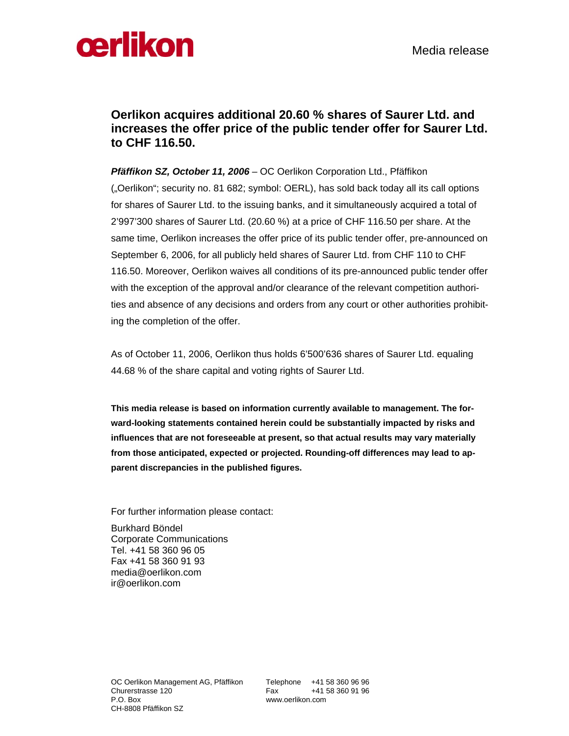

## **Oerlikon acquires additional 20.60 % shares of Saurer Ltd. and increases the offer price of the public tender offer for Saurer Ltd. to CHF 116.50.**

*Pfäffikon SZ, October 11, 2006 –* OC Oerlikon Corporation Ltd., Pfäffikon ("Oerlikon"; security no. 81 682; symbol: OERL), has sold back today all its call options for shares of Saurer Ltd. to the issuing banks, and it simultaneously acquired a total of 2'997'300 shares of Saurer Ltd. (20.60 %) at a price of CHF 116.50 per share. At the same time, Oerlikon increases the offer price of its public tender offer, pre-announced on September 6, 2006, for all publicly held shares of Saurer Ltd. from CHF 110 to CHF 116.50. Moreover, Oerlikon waives all conditions of its pre-announced public tender offer with the exception of the approval and/or clearance of the relevant competition authorities and absence of any decisions and orders from any court or other authorities prohibiting the completion of the offer.

As of October 11, 2006, Oerlikon thus holds 6'500'636 shares of Saurer Ltd. equaling 44.68 % of the share capital and voting rights of Saurer Ltd.

**This media release is based on information currently available to management. The forward-looking statements contained herein could be substantially impacted by risks and influences that are not foreseeable at present, so that actual results may vary materially from those anticipated, expected or projected. Rounding-off differences may lead to apparent discrepancies in the published figures.** 

For further information please contact:

Burkhard Böndel Corporate Communications Tel. +41 58 360 96 05 Fax +41 58 360 91 93 media@oerlikon.com ir@oerlikon.com